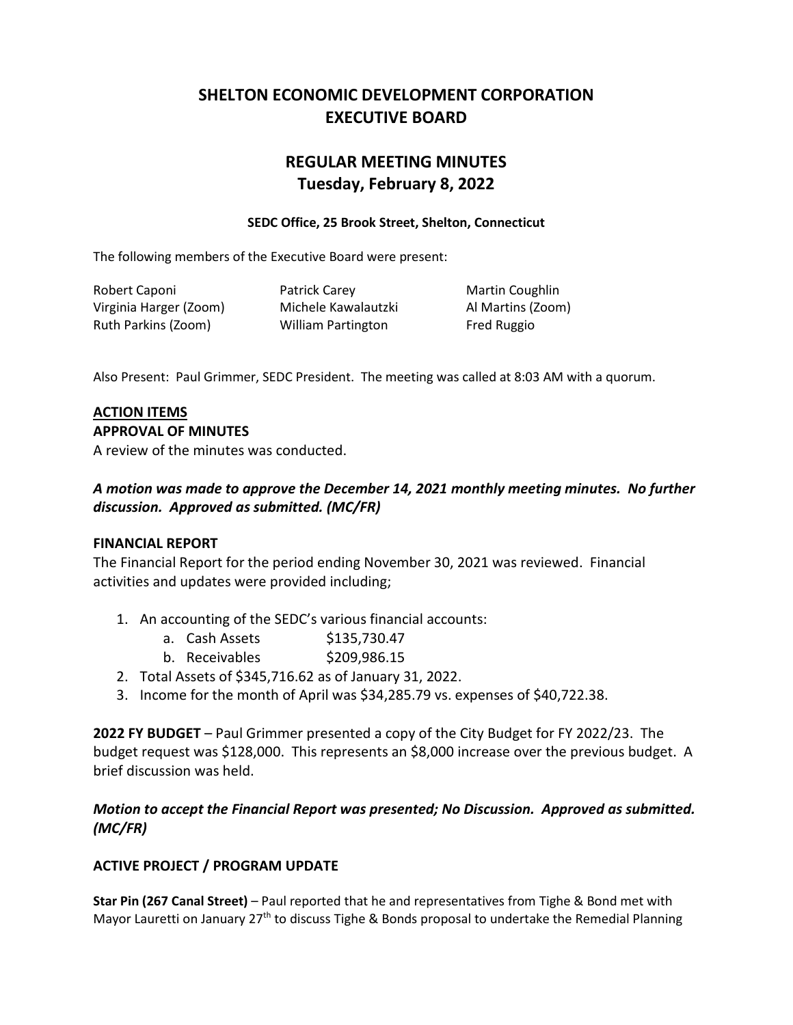# **SHELTON ECONOMIC DEVELOPMENT CORPORATION EXECUTIVE BOARD**

# **REGULAR MEETING MINUTES Tuesday, February 8, 2022**

#### **SEDC Office, 25 Brook Street, Shelton, Connecticut**

The following members of the Executive Board were present:

Robert Caponi **Patrick Carey Constructs** Martin Coughlin Virginia Harger (Zoom) Michele Kawalautzki Al Martins (Zoom) Ruth Parkins (Zoom) William Partington Fred Ruggio

Also Present: Paul Grimmer, SEDC President. The meeting was called at 8:03 AM with a quorum.

### **ACTION ITEMS**

#### **APPROVAL OF MINUTES**

A review of the minutes was conducted.

# *A motion was made to approve the December 14, 2021 monthly meeting minutes. No further discussion. Approved as submitted. (MC/FR)*

### **FINANCIAL REPORT**

The Financial Report for the period ending November 30, 2021 was reviewed. Financial activities and updates were provided including;

- 1. An accounting of the SEDC's various financial accounts:
	- a. Cash Assets \$135,730.47
	- b. Receivables \$209,986.15
- 2. Total Assets of \$345,716.62 as of January 31, 2022.
- 3. Income for the month of April was \$34,285.79 vs. expenses of \$40,722.38.

**2022 FY BUDGET** – Paul Grimmer presented a copy of the City Budget for FY 2022/23. The budget request was \$128,000. This represents an \$8,000 increase over the previous budget. A brief discussion was held.

## *Motion to accept the Financial Report was presented; No Discussion. Approved as submitted. (MC/FR)*

## **ACTIVE PROJECT / PROGRAM UPDATE**

**Star Pin (267 Canal Street)** – Paul reported that he and representatives from Tighe & Bond met with Mayor Lauretti on January 27<sup>th</sup> to discuss Tighe & Bonds proposal to undertake the Remedial Planning